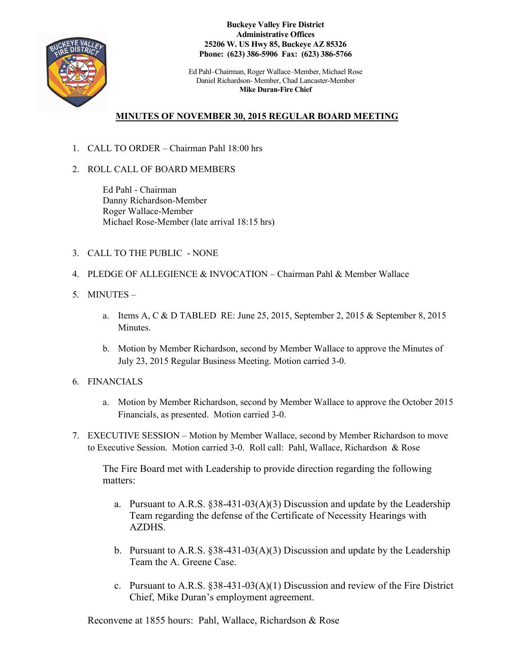

**Buckeye Valley Fire District Administrative Offices 25206 W. US Hwy 85, Buckeye AZ 85326 Phone: (623) 386-5906 Fax: (623) 386-5766**

Ed Pahl–Chairman, Roger Wallace–Member, Michael Rose Daniel Richardson- Member, Chad Lancaster-Member **Mike Duran-Fire Chief**

## **MINUTES OF NOVEMBER 30, 2015 REGULAR BOARD MEETING**

- 1. CALL TO ORDER Chairman Pahl 18:00 hrs
- 2. ROLL CALL OF BOARD MEMBERS

Ed Pahl - Chairman Danny Richardson-Member Roger Wallace-Member Michael Rose-Member (late arrival 18:15 hrs)

- 3. CALL TO THE PUBLIC NONE
- 4. PLEDGE OF ALLEGIENCE & INVOCATION Chairman Pahl & Member Wallace
- 5. MINUTES
	- a. Items A, C & D TABLED RE: June 25, 2015, September 2, 2015 & September 8, 2015 **Minutes**
	- b. Motion by Member Richardson, second by Member Wallace to approve the Minutes of July 23, 2015 Regular Business Meeting. Motion carried 3-0.
- 6. FINANCIALS
	- a. Motion by Member Richardson, second by Member Wallace to approve the October 2015 Financials, as presented. Motion carried 3-0.
- 7. EXECUTIVE SESSION Motion by Member Wallace, second by Member Richardson to move to Executive Session. Motion carried 3-0. Roll call: Pahl, Wallace, Richardson & Rose

The Fire Board met with Leadership to provide direction regarding the following matters:

- a. Pursuant to A.R.S.  $$38-431-03(A)(3)$  Discussion and update by the Leadership Team regarding the defense of the Certificate of Necessity Hearings with AZDHS.
- b. Pursuant to A.R.S. §38-431-03(A)(3) Discussion and update by the Leadership Team the A. Greene Case.
- c. Pursuant to A.R.S. §38-431-03(A)(1) Discussion and review of the Fire District Chief, Mike Duran's employment agreement.

Reconvene at 1855 hours: Pahl, Wallace, Richardson & Rose